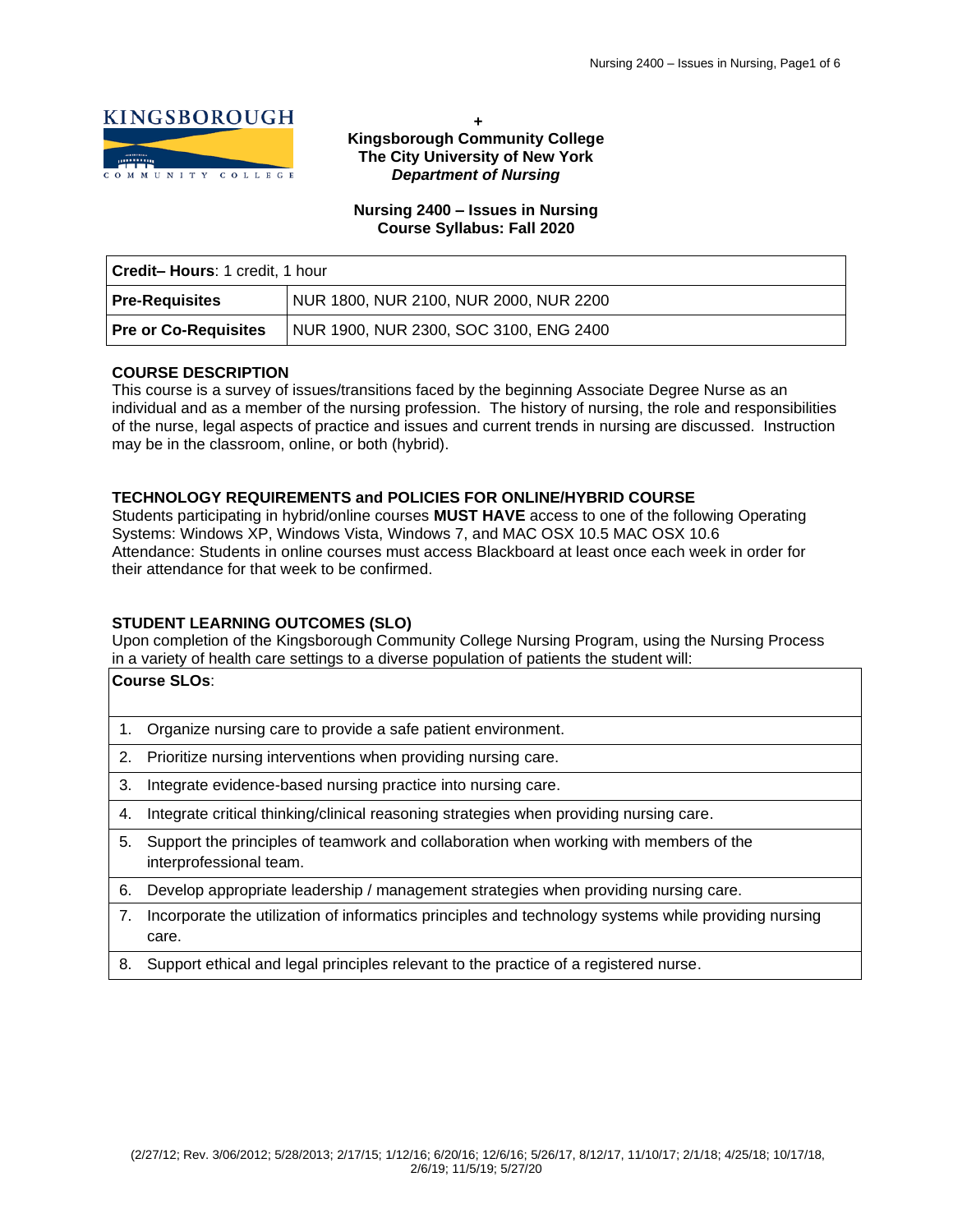

**+ Kingsborough Community College The City University of New York** *Department of Nursing*

## **Nursing 2400 – Issues in Nursing Course Syllabus: Fall 2020**

| <b>Credit-Hours: 1 credit, 1 hour</b> |                                        |  |
|---------------------------------------|----------------------------------------|--|
| Pre-Requisites                        | NUR 1800, NUR 2100, NUR 2000, NUR 2200 |  |
| <b>Pre or Co-Requisites</b>           | NUR 1900, NUR 2300, SOC 3100, ENG 2400 |  |

# **COURSE DESCRIPTION**

This course is a survey of issues/transitions faced by the beginning Associate Degree Nurse as an individual and as a member of the nursing profession. The history of nursing, the role and responsibilities of the nurse, legal aspects of practice and issues and current trends in nursing are discussed. Instruction may be in the classroom, online, or both (hybrid).

# **TECHNOLOGY REQUIREMENTS and POLICIES FOR ONLINE/HYBRID COURSE**

Students participating in hybrid/online courses **MUST HAVE** access to one of the following Operating Systems: Windows XP, Windows Vista, Windows 7, and MAC OSX 10.5 MAC OSX 10.6 Attendance: Students in online courses must access Blackboard at least once each week in order for their attendance for that week to be confirmed.

# **STUDENT LEARNING OUTCOMES (SLO)**

Upon completion of the Kingsborough Community College Nursing Program, using the Nursing Process in a variety of health care settings to a diverse population of patients the student will:

|    | ∣Course SLOs∶                                                                                                    |
|----|------------------------------------------------------------------------------------------------------------------|
|    | Organize nursing care to provide a safe patient environment.                                                     |
| 2. | Prioritize nursing interventions when providing nursing care.                                                    |
| 3. | Integrate evidence-based nursing practice into nursing care.                                                     |
| 4. | Integrate critical thinking/clinical reasoning strategies when providing nursing care.                           |
| 5. | Support the principles of teamwork and collaboration when working with members of the<br>interprofessional team. |
| 6. | Develop appropriate leadership / management strategies when providing nursing care.                              |
| 7. | Incorporate the utilization of informatics principles and technology systems while providing nursing<br>care.    |

8. Support ethical and legal principles relevant to the practice of a registered nurse.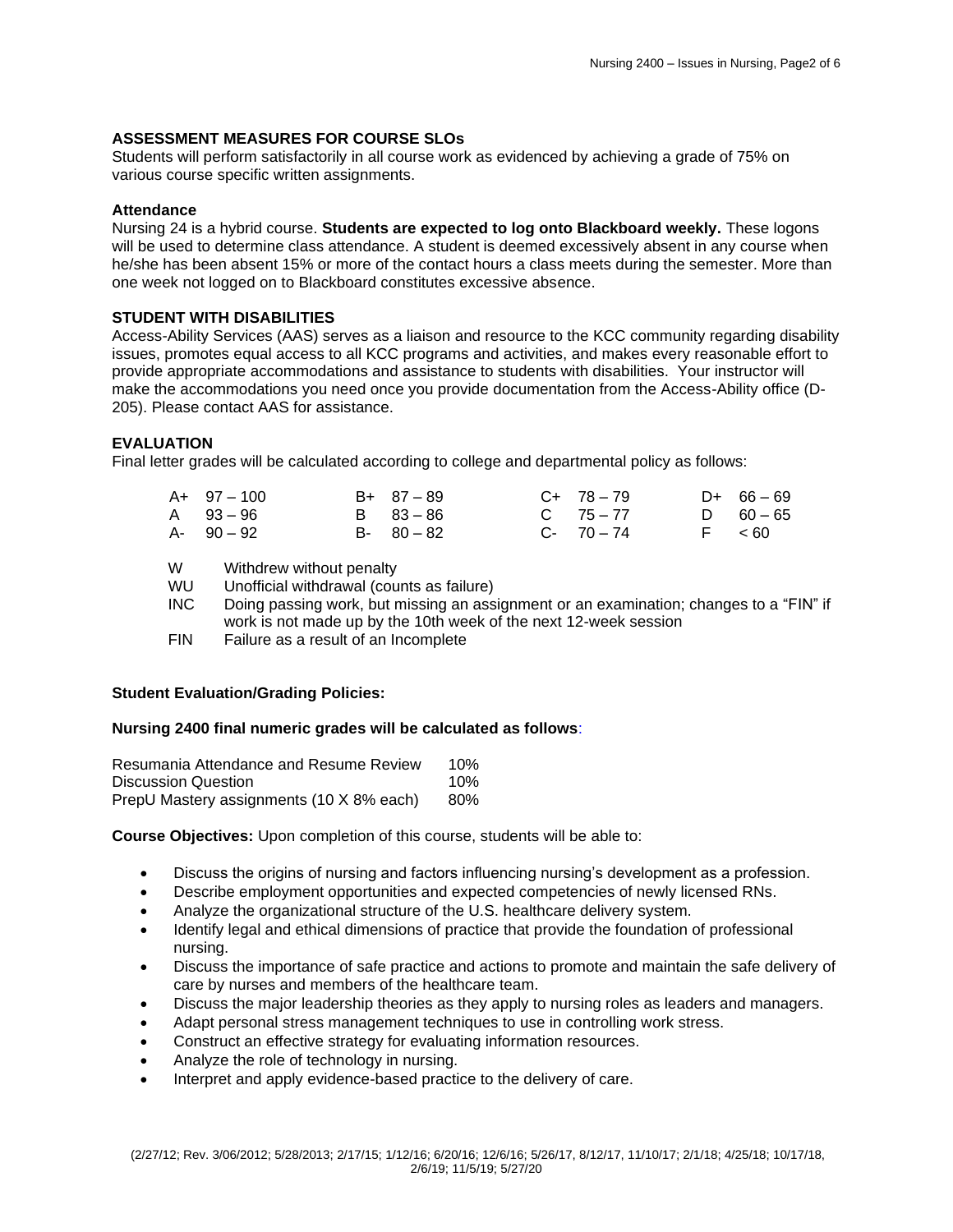## **ASSESSMENT MEASURES FOR COURSE SLOs**

Students will perform satisfactorily in all course work as evidenced by achieving a grade of 75% on various course specific written assignments.

### **Attendance**

Nursing 24 is a hybrid course. **Students are expected to log onto Blackboard weekly.** These logons will be used to determine class attendance. A student is deemed excessively absent in any course when he/she has been absent 15% or more of the contact hours a class meets during the semester. More than one week not logged on to Blackboard constitutes excessive absence.

### **STUDENT WITH DISABILITIES**

Access-Ability Services (AAS) serves as a liaison and resource to the KCC community regarding disability issues, promotes equal access to all KCC programs and activities, and makes every reasonable effort to provide appropriate accommodations and assistance to students with disabilities. Your instructor will make the accommodations you need once you provide documentation from the Access-Ability office (D-205). Please contact AAS for assistance.

### **EVALUATION**

Final letter grades will be calculated according to college and departmental policy as follows:

| $A+ 97-100$   | $B+ 87-89$    | $C+ 78-79$    | $D+ 66-69$  |
|---------------|---------------|---------------|-------------|
| A 93-96       | B 83-86       | $C = 75 - 77$ | D $60 - 65$ |
| $A - 90 - 92$ | $B - 80 - 82$ | $C - 70 - 74$ | F < 60      |

W Withdrew without penalty<br>WU Unofficial withdrawal (cou

- Unofficial withdrawal (counts as failure)
- INC Doing passing work, but missing an assignment or an examination; changes to a "FIN" if work is not made up by the 10th week of the next 12-week session
- FIN Failure as a result of an Incomplete

## **Student Evaluation/Grading Policies:**

### **Nursing 2400 final numeric grades will be calculated as follows**:

| Resumania Attendance and Resume Review   | 10% |
|------------------------------------------|-----|
| Discussion Question                      | 10% |
| PrepU Mastery assignments (10 X 8% each) | 80% |

**Course Objectives:** Upon completion of this course, students will be able to:

- Discuss the origins of nursing and factors influencing nursing's development as a profession.
- Describe employment opportunities and expected competencies of newly licensed RNs.
- Analyze the organizational structure of the U.S. healthcare delivery system.
- Identify legal and ethical dimensions of practice that provide the foundation of professional nursing.
- Discuss the importance of safe practice and actions to promote and maintain the safe delivery of care by nurses and members of the healthcare team.
- Discuss the major leadership theories as they apply to nursing roles as leaders and managers.
- Adapt personal stress management techniques to use in controlling work stress.
- Construct an effective strategy for evaluating information resources.
- Analyze the role of technology in nursing.
- Interpret and apply evidence-based practice to the delivery of care.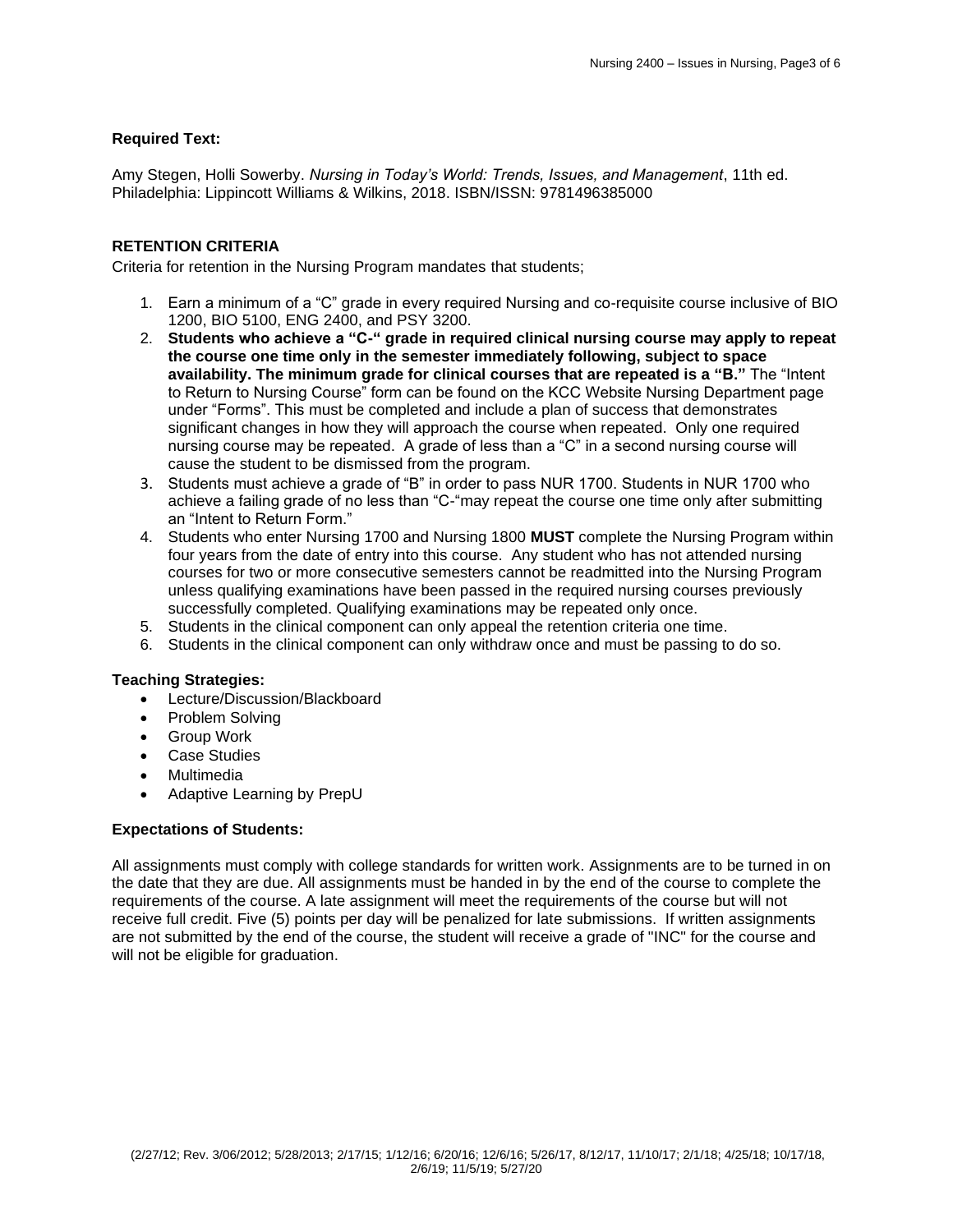# **Required Text:**

Amy Stegen, Holli Sowerby. *Nursing in Today's World: Trends, Issues, and Management*, 11th ed. Philadelphia: Lippincott Williams & Wilkins, 2018. ISBN/ISSN: 9781496385000

## **RETENTION CRITERIA**

Criteria for retention in the Nursing Program mandates that students;

- 1. Earn a minimum of a "C" grade in every required Nursing and co-requisite course inclusive of BIO 1200, BIO 5100, ENG 2400, and PSY 3200.
- 2. **Students who achieve a "C-" grade in required clinical nursing course may apply to repeat the course one time only in the semester immediately following, subject to space availability. The minimum grade for clinical courses that are repeated is a "B."** The "Intent to Return to Nursing Course" form can be found on the KCC Website Nursing Department page under "Forms". This must be completed and include a plan of success that demonstrates significant changes in how they will approach the course when repeated. Only one required nursing course may be repeated. A grade of less than a "C" in a second nursing course will cause the student to be dismissed from the program.
- 3. Students must achieve a grade of "B" in order to pass NUR 1700. Students in NUR 1700 who achieve a failing grade of no less than "C-"may repeat the course one time only after submitting an "Intent to Return Form."
- 4. Students who enter Nursing 1700 and Nursing 1800 **MUST** complete the Nursing Program within four years from the date of entry into this course. Any student who has not attended nursing courses for two or more consecutive semesters cannot be readmitted into the Nursing Program unless qualifying examinations have been passed in the required nursing courses previously successfully completed. Qualifying examinations may be repeated only once.
- 5. Students in the clinical component can only appeal the retention criteria one time.
- 6. Students in the clinical component can only withdraw once and must be passing to do so.

### **Teaching Strategies:**

- Lecture/Discussion/Blackboard
- Problem Solving
- Group Work
- Case Studies
- **Multimedia**
- Adaptive Learning by PrepU

### **Expectations of Students:**

All assignments must comply with college standards for written work. Assignments are to be turned in on the date that they are due. All assignments must be handed in by the end of the course to complete the requirements of the course. A late assignment will meet the requirements of the course but will not receive full credit. Five (5) points per day will be penalized for late submissions. If written assignments are not submitted by the end of the course, the student will receive a grade of "INC" for the course and will not be eligible for graduation.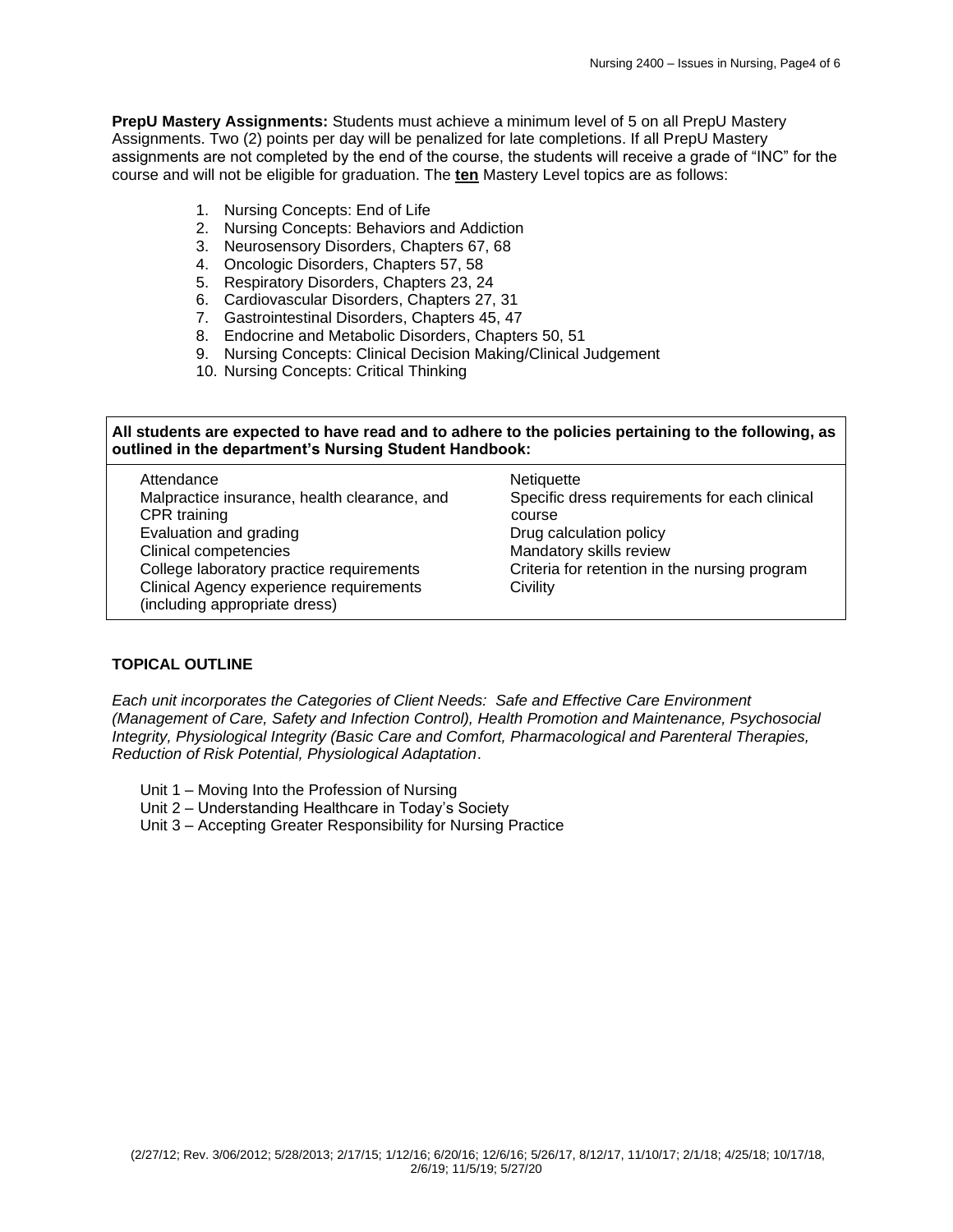**PrepU Mastery Assignments:** Students must achieve a minimum level of 5 on all PrepU Mastery Assignments. Two (2) points per day will be penalized for late completions. If all PrepU Mastery assignments are not completed by the end of the course, the students will receive a grade of "INC" for the course and will not be eligible for graduation. The **ten** Mastery Level topics are as follows:

- 1. Nursing Concepts: End of Life
- 2. Nursing Concepts: Behaviors and Addiction
- 3. Neurosensory Disorders, Chapters 67, 68
- 4. Oncologic Disorders, Chapters 57, 58
- 5. Respiratory Disorders, Chapters 23, 24
- 6. Cardiovascular Disorders, Chapters 27, 31
- 7. Gastrointestinal Disorders, Chapters 45, 47
- 8. Endocrine and Metabolic Disorders, Chapters 50, 51
- 9. Nursing Concepts: Clinical Decision Making/Clinical Judgement
- 10. Nursing Concepts: Critical Thinking

## **All students are expected to have read and to adhere to the policies pertaining to the following, as outlined in the department's Nursing Student Handbook:**

| Attendance                                   | <b>Netiquette</b>                             |
|----------------------------------------------|-----------------------------------------------|
| Malpractice insurance, health clearance, and | Specific dress requirements for each clinical |
| CPR training                                 | course                                        |
| Evaluation and grading                       | Drug calculation policy                       |
| Clinical competencies                        | Mandatory skills review                       |
| College laboratory practice requirements     | Criteria for retention in the nursing program |
| Clinical Agency experience requirements      | Civility                                      |
| (including appropriate dress)                |                                               |

# **TOPICAL OUTLINE**

*Each unit incorporates the Categories of Client Needs: Safe and Effective Care Environment (Management of Care, Safety and Infection Control), Health Promotion and Maintenance, Psychosocial Integrity, Physiological Integrity (Basic Care and Comfort, Pharmacological and Parenteral Therapies, Reduction of Risk Potential, Physiological Adaptation*.

- Unit 1 Moving Into the Profession of Nursing
- Unit 2 Understanding Healthcare in Today's Society
- Unit 3 Accepting Greater Responsibility for Nursing Practice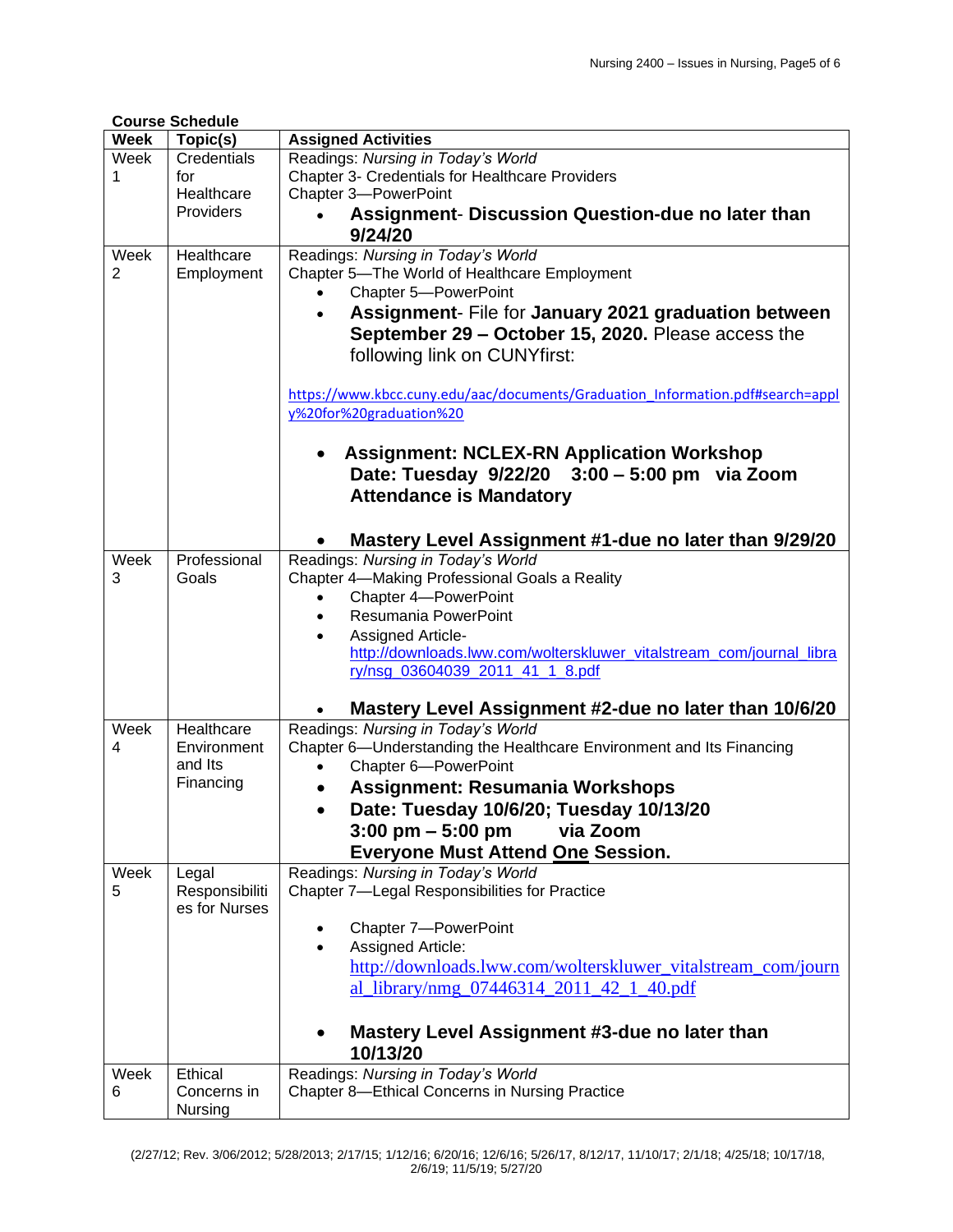|             | <b>Course Schedule</b>  |                                                                                |
|-------------|-------------------------|--------------------------------------------------------------------------------|
| <b>Week</b> | Topic(s)                | <b>Assigned Activities</b>                                                     |
| Week        | Credentials             | Readings: Nursing in Today's World                                             |
| 1           | for                     | <b>Chapter 3- Credentials for Healthcare Providers</b>                         |
|             | Healthcare              | Chapter 3-PowerPoint                                                           |
|             | Providers               | Assignment- Discussion Question-due no later than                              |
|             |                         | 9/24/20                                                                        |
| Week        | Healthcare              | Readings: Nursing in Today's World                                             |
| 2           | Employment              | Chapter 5-The World of Healthcare Employment                                   |
|             |                         | Chapter 5-PowerPoint                                                           |
|             |                         | Assignment- File for January 2021 graduation between<br>$\bullet$              |
|             |                         | September 29 - October 15, 2020. Please access the                             |
|             |                         |                                                                                |
|             |                         | following link on CUNYfirst:                                                   |
|             |                         |                                                                                |
|             |                         | https://www.kbcc.cuny.edu/aac/documents/Graduation Information.pdf#search=appl |
|             |                         | y%20for%20graduation%20                                                        |
|             |                         |                                                                                |
|             |                         | <b>Assignment: NCLEX-RN Application Workshop</b>                               |
|             |                         | Date: Tuesday 9/22/20 3:00 - 5:00 pm via Zoom                                  |
|             |                         | <b>Attendance is Mandatory</b>                                                 |
|             |                         |                                                                                |
|             |                         | Mastery Level Assignment #1-due no later than 9/29/20                          |
| Week        | Professional            | Readings: Nursing in Today's World                                             |
| 3           | Goals                   | Chapter 4-Making Professional Goals a Reality                                  |
|             |                         | Chapter 4-PowerPoint<br>$\bullet$                                              |
|             |                         | Resumania PowerPoint<br>$\bullet$                                              |
|             |                         | Assigned Article-<br>$\bullet$                                                 |
|             |                         | http://downloads.lww.com/wolterskluwer_vitalstream_com/journal_libra           |
|             |                         | ry/nsg 03604039 2011 41 1 8.pdf                                                |
|             |                         |                                                                                |
|             |                         | Mastery Level Assignment #2-due no later than 10/6/20                          |
| Week        | Healthcare              | Readings: Nursing in Today's World                                             |
| 4           | Environment             | Chapter 6-Understanding the Healthcare Environment and Its Financing           |
|             | and Its                 | Chapter 6-PowerPoint<br>$\bullet$                                              |
|             | Financing               | <b>Assignment: Resumania Workshops</b>                                         |
|             |                         | Date: Tuesday 10/6/20; Tuesday 10/13/20                                        |
|             |                         | $3:00 \text{ pm} - 5:00 \text{ pm}$<br>via Zoom                                |
|             |                         |                                                                                |
| Week        |                         | <b>Everyone Must Attend One Session.</b><br>Readings: Nursing in Today's World |
| 5           | Legal<br>Responsibiliti | Chapter 7-Legal Responsibilities for Practice                                  |
|             | es for Nurses           |                                                                                |
|             |                         | Chapter 7-PowerPoint                                                           |
|             |                         | Assigned Article:                                                              |
|             |                         |                                                                                |
|             |                         | http://downloads.lww.com/wolterskluwer_vitalstream_com/journ                   |
|             |                         | al_library/nmg_07446314_2011_42_1_40.pdf                                       |
|             |                         |                                                                                |
|             |                         | Mastery Level Assignment #3-due no later than                                  |
|             |                         | 10/13/20                                                                       |
| Week        | Ethical                 | Readings: Nursing in Today's World                                             |
| 6           | Concerns in             | Chapter 8-Ethical Concerns in Nursing Practice                                 |
|             | Nursing                 |                                                                                |